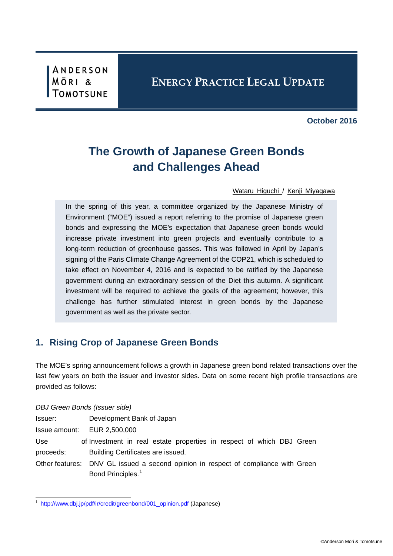ANDERSON **MÖRI** &

# **ENERGY PRACTICE LEGAL UPDATE**

**October 2016**

# **The Growth of Japanese Green Bonds and Challenges Ahead**

[Wataru Higuchi](http://www.amt-law.com/en/professional/profile/WTH) / [Kenji Miyagawa](http://www.amt-law.com/en/professional/profile/KJM)

In the spring of this year, a committee organized by the Japanese Ministry of Environment ("MOE") issued a report referring to the promise of Japanese green bonds and expressing the MOE's expectation that Japanese green bonds would increase private investment into green projects and eventually contribute to a long-term reduction of greenhouse gasses. This was followed in April by Japan's signing of the Paris Climate Change Agreement of the COP21, which is scheduled to take effect on November 4, 2016 and is expected to be ratified by the Japanese government during an extraordinary session of the Diet this autumn. A significant investment will be required to achieve the goals of the agreement; however, this challenge has further stimulated interest in green bonds by the Japanese government as well as the private sector.

## **1. Rising Crop of Japanese Green Bonds**

The MOE's spring announcement follows a growth in Japanese green bond related transactions over the last few years on both the issuer and investor sides. Data on some recent high profile transactions are provided as follows:

#### *DBJ Green Bonds (Issuer side)*

| Issuer:       | Development Bank of Japan                                                          |
|---------------|------------------------------------------------------------------------------------|
| Issue amount: | EUR 2,500,000                                                                      |
| Use.          | of Investment in real estate properties in respect of which DBJ Green              |
| proceeds:     | Building Certificates are issued.                                                  |
|               | Other features: DNV GL issued a second opinion in respect of compliance with Green |
|               | Bond Principles. <sup>1</sup>                                                      |

<span id="page-0-0"></span><sup>1</sup> [http://www.dbj.jp/pdf/ir/credit/greenbond/001\\_opinion.pdf](http://www.dbj.jp/pdf/ir/credit/greenbond/001_opinion.pdf) (Japanese)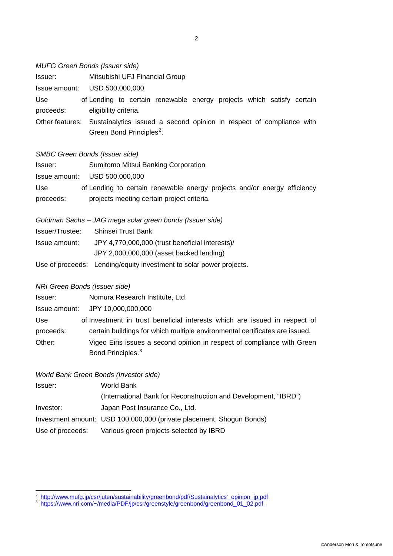#### *MUFG Green Bonds (Issuer side)*

| lssuer:   | Mitsubishi UFJ Financial Group                                                       |
|-----------|--------------------------------------------------------------------------------------|
|           | Issue amount: USD 500,000,000                                                        |
| Use       | of Lending to certain renewable energy projects which satisfy certain                |
| proceeds: | eligibility criteria.                                                                |
|           | Other features: Sustainalytics issued a second opinion in respect of compliance with |
|           | Green Bond Principles <sup>2</sup> .                                                 |

#### *SMBC Green Bonds (Issuer side)*

| Issuer:                 | Sumitomo Mitsui Banking Corporation                                                                                    |
|-------------------------|------------------------------------------------------------------------------------------------------------------------|
|                         | Issue amount: USD 500,000,000                                                                                          |
| <b>Use</b><br>proceeds: | of Lending to certain renewable energy projects and/or energy efficiency<br>projects meeting certain project criteria. |

|                 | Goldman Sachs – JAG mega solar green bonds (Issuer side)            |
|-----------------|---------------------------------------------------------------------|
| Issuer/Trustee: | Shinsei Trust Bank                                                  |
| Issue amount:   | JPY 4,770,000,000 (trust beneficial interests)/                     |
|                 | JPY 2,000,000,000 (asset backed lending)                            |
|                 | Use of proceeds: Lending/equity investment to solar power projects. |

### *NRI Green Bonds (Issuer side)*

| Issuer:   | Nomura Research Institute, Ltd.                                             |
|-----------|-----------------------------------------------------------------------------|
|           | Issue amount: JPY 10,000,000,000                                            |
| Use       | of Investment in trust beneficial interests which are issued in respect of  |
| proceeds: | certain buildings for which multiple environmental certificates are issued. |
| Other:    | Vigeo Eiris issues a second opinion in respect of compliance with Green     |
|           | Bond Principles. <sup>3</sup>                                               |

## *World Bank Green Bonds (Investor side)*

| Issuer:          | World Bank                                                           |
|------------------|----------------------------------------------------------------------|
|                  | (International Bank for Reconstruction and Development, "IBRD")      |
| Investor:        | Japan Post Insurance Co., Ltd.                                       |
|                  | Investment amount: USD 100,000,000 (private placement, Shogun Bonds) |
| Use of proceeds: | Various green projects selected by IBRD                              |

<span id="page-1-0"></span><sup>&</sup>lt;sup>2</sup> [http://www.mufg.jp/csr/juten/sustainability/greenbond/pdf/Sustainalytics'\\_opinion\\_jp.pdf](http://www.mufg.jp/csr/juten/sustainability/greenbond/pdf/Sustainalytics)<br><sup>3</sup> [https://www.nri.com/~/media/PDF/jp/csr/greenstyle/greenbond/greenbond\\_01\\_02.pdf](https://www.nri.com/%7E/media/PDF/jp/csr/greenstyle/greenbond/greenbond_01_02.pdf)

<span id="page-1-1"></span>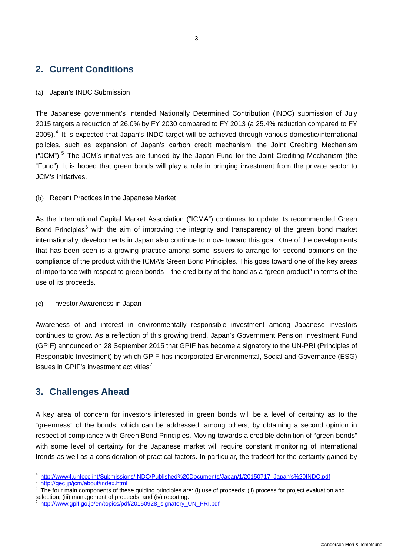## **2. Current Conditions**

#### (a) Japan's INDC Submission

The Japanese government's Intended Nationally Determined Contribution (INDC) submission of July 2015 targets a reduction of 26.0% by FY 2030 compared to FY 2013 (a 25.4% reduction compared to FY  $2005$ ).<sup>[4](#page-2-0)</sup> It is expected that Japan's INDC target will be achieved through various domestic/international policies, such as expansion of Japan's carbon credit mechanism, the Joint Crediting Mechanism ("JCM").<sup>[5](#page-2-1)</sup> The JCM's initiatives are funded by the Japan Fund for the Joint Crediting Mechanism (the "Fund"). It is hoped that green bonds will play a role in bringing investment from the private sector to JCM's initiatives.

(b) Recent Practices in the Japanese Market

As the International Capital Market Association ("ICMA") continues to update its recommended Green Bond Principles<sup>[6](#page-2-2)</sup> with the aim of improving the integrity and transparency of the green bond market internationally, developments in Japan also continue to move toward this goal. One of the developments that has been seen is a growing practice among some issuers to arrange for second opinions on the compliance of the product with the ICMA's Green Bond Principles. This goes toward one of the key areas of importance with respect to green bonds – the credibility of the bond as a "green product" in terms of the use of its proceeds.

#### (c) Investor Awareness in Japan

Awareness of and interest in environmentally responsible investment among Japanese investors continues to grow. As a reflection of this growing trend, Japan's Government Pension Investment Fund (GPIF) announced on 28 September 2015 that GPIF has become a signatory to the UN-PRI (Principles of Responsible Investment) by which GPIF has incorporated Environmental, Social and Governance (ESG) issues in GPIF's investment activities<sup>[7](#page-2-3)</sup>

## **3. Challenges Ahead**

A key area of concern for investors interested in green bonds will be a level of certainty as to the "greenness" of the bonds, which can be addressed, among others, by obtaining a second opinion in respect of compliance with Green Bond Principles. Moving towards a credible definition of "green bonds" with some level of certainty for the Japanese market will require constant monitoring of international trends as well as a consideration of practical factors. In particular, the tradeoff for the certainty gained by

<span id="page-2-2"></span><span id="page-2-1"></span>

<span id="page-2-0"></span> $\frac{4}{5} \frac{http://www4.unfccc.in/Submissions/INDC/Published%20Documents/Japan/1/20150717_Japan's%20INDC.pdf}{http://geo.jp/jcm/about/index.html}$   $\frac{6}{5} \frac{http://geo.jp/jcm/about/index.html}{\text{http://geo.jp/jcm/about/index.html}}$   $\frac{6}{5} \frac{http://geo.jp/jcm/about/index.html}{\text{http://geo.jp/jcm/about/index.html}}$   $\frac{6}{5} \frac{http://geo.jp/jcm/about/index.html}{\text{http://geo.jp/jcm/about/index.html}}$   $\frac{1}{5} \frac{http://geo.jp/jcm/about/index.html}{\text{http://$ 

<span id="page-2-3"></span>[http://www.gpif.go.jp/en/topics/pdf/20150928\\_signatory\\_UN\\_PRI.pdf](http://www.gpif.go.jp/en/topics/pdf/20150928_signatory_UN_PRI.pdf)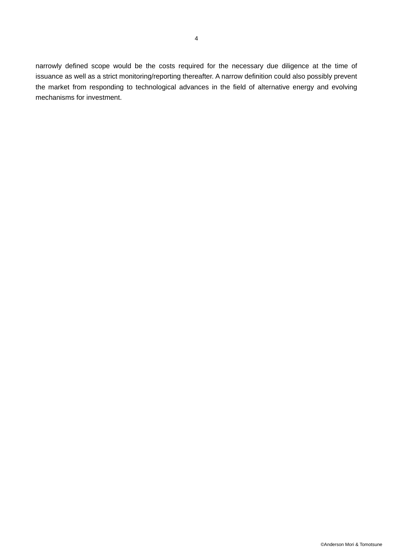narrowly defined scope would be the costs required for the necessary due diligence at the time of issuance as well as a strict monitoring/reporting thereafter. A narrow definition could also possibly prevent the market from responding to technological advances in the field of alternative energy and evolving mechanisms for investment.